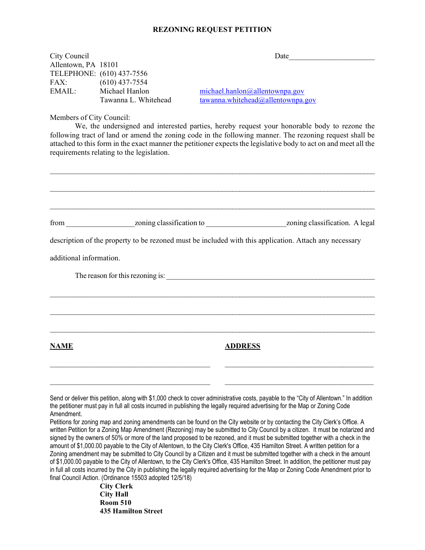## **REZONING REQUEST PETITION**

| City Council                |                                               | Date                                                                |
|-----------------------------|-----------------------------------------------|---------------------------------------------------------------------|
| Allentown, PA 18101<br>FAX: | TELEPHONE: (610) 437-7556<br>$(610)$ 437-7554 |                                                                     |
| EMAIL:                      | Michael Hanlon<br>Tawanna L. Whitehead        | michael.hanlon@allentownpa.gov<br>tawanna.whitehead@allentownpa.gov |
| Members of City Council:    |                                               |                                                                     |

We, the undersigned and interested parties, hereby request your honorable body to rezone the following tract of land or amend the zoning code in the following manner. The rezoning request shall be attached to this form in the exact manner the petitioner expects the legislative body to act on and meet all the requirements relating to the legislation.

|                         |                                                                                                                              | description of the property to be rezoned must be included with this application. Attach any necessary                                                                                                                                                                                                                                                                                                                                                                                                                                                                                                                                                            |
|-------------------------|------------------------------------------------------------------------------------------------------------------------------|-------------------------------------------------------------------------------------------------------------------------------------------------------------------------------------------------------------------------------------------------------------------------------------------------------------------------------------------------------------------------------------------------------------------------------------------------------------------------------------------------------------------------------------------------------------------------------------------------------------------------------------------------------------------|
| additional information. |                                                                                                                              |                                                                                                                                                                                                                                                                                                                                                                                                                                                                                                                                                                                                                                                                   |
|                         |                                                                                                                              |                                                                                                                                                                                                                                                                                                                                                                                                                                                                                                                                                                                                                                                                   |
|                         |                                                                                                                              |                                                                                                                                                                                                                                                                                                                                                                                                                                                                                                                                                                                                                                                                   |
|                         |                                                                                                                              |                                                                                                                                                                                                                                                                                                                                                                                                                                                                                                                                                                                                                                                                   |
|                         |                                                                                                                              |                                                                                                                                                                                                                                                                                                                                                                                                                                                                                                                                                                                                                                                                   |
| <b>NAME</b>             |                                                                                                                              | <b>ADDRESS</b>                                                                                                                                                                                                                                                                                                                                                                                                                                                                                                                                                                                                                                                    |
|                         |                                                                                                                              |                                                                                                                                                                                                                                                                                                                                                                                                                                                                                                                                                                                                                                                                   |
|                         |                                                                                                                              |                                                                                                                                                                                                                                                                                                                                                                                                                                                                                                                                                                                                                                                                   |
| Amendment.              | the petitioner must pay in full all costs incurred in publishing the legally required advertising for the Map or Zoning Code | Send or deliver this petition, along with \$1,000 check to cover administrative costs, payable to the "City of Allentown." In addition                                                                                                                                                                                                                                                                                                                                                                                                                                                                                                                            |
|                         |                                                                                                                              | Petitions for zoning map and zoning amendments can be found on the City website or by contacting the City Clerk's Office. A<br>written Petition for a Zoning Map Amendment (Rezoning) may be submitted to City Council by a citizen. It must be notarized and<br>signed by the owners of 50% or more of the land proposed to be rezoned, and it must be submitted together with a check in the<br>amount of \$1,000.00 payable to the City of Allentown, to the City Clerk's Office, 435 Hamilton Street. A written petition for a<br>Zoning amendment may be submitted to City Council by a Citizen and it must be submitted together with a check in the amount |
|                         | final Council Action. (Ordinance 15503 adopted 12/5/18)<br>$\sum_{i=1}^{n} \sum_{j=1}^{n} \sum_{j=1}^{n}$                    | of \$1,000.00 payable to the City of Allentown, to the City Clerk's Office, 435 Hamilton Street. In addition, the petitioner must pay<br>in full all costs incurred by the City in publishing the legally required advertising for the Map or Zoning Code Amendment prior to                                                                                                                                                                                                                                                                                                                                                                                      |

**City Clerk City Hall Room 510 435 Hamilton Street**